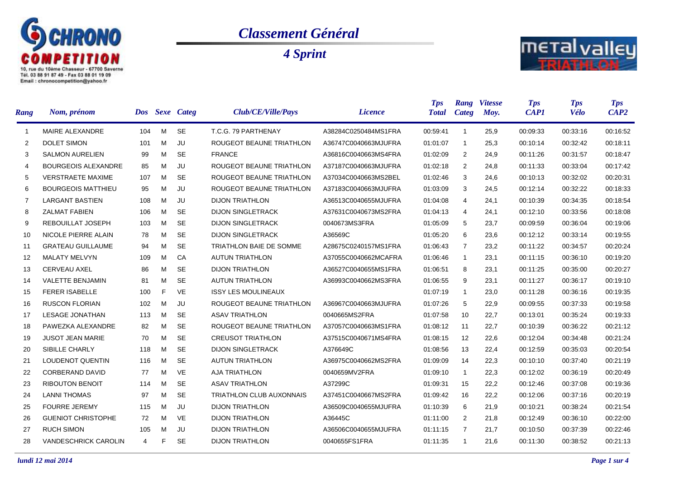

## *Classement Général*

*4 Sprint*



| Rang              | Nom, prénom                 |     |   | Dos Sexe Categ | Club/CE/Ville/Pays              | <i>Licence</i>       | <b>Tps</b><br><b>Total</b> | Rang<br><b>Categ</b> | <b>Vitesse</b><br>Moy. | <b>Tps</b><br><b>CAP1</b> | <b>Tps</b><br><b>Vélo</b> | <b>Tps</b><br>CAP2 |
|-------------------|-----------------------------|-----|---|----------------|---------------------------------|----------------------|----------------------------|----------------------|------------------------|---------------------------|---------------------------|--------------------|
| $\overline{1}$    | MAIRE ALEXANDRE             | 104 | M | <b>SE</b>      | T.C.G. 79 PARTHENAY             | A38284C0250484MS1FRA | 00:59:41                   | $\mathbf{1}$         | 25,9                   | 00:09:33                  | 00:33:16                  | 00:16:52           |
| 2                 | <b>DOLET SIMON</b>          | 101 | M | JU             | ROUGEOT BEAUNE TRIATHLON        | A36747C0040663MJUFRA | 01:01:07                   | $\mathbf{1}$         | 25,3                   | 00:10:14                  | 00:32:42                  | 00:18:11           |
| 3                 | <b>SALMON AURELIEN</b>      | 99  | м | <b>SE</b>      | <b>FRANCE</b>                   | A36816C0040663MS4FRA | 01:02:09                   | 2                    | 24,9                   | 00:11:26                  | 00:31:57                  | 00:18:47           |
| 4                 | <b>BOURGEOIS ALEXANDRE</b>  | 85  | м | JU             | ROUGEOT BEAUNE TRIATHLON        | A37187C0040663MJUFRA | 01:02:18                   | 2                    | 24,8                   | 00:11:33                  | 00:33:04                  | 00:17:42           |
| 5                 | <b>VERSTRAETE MAXIME</b>    | 107 | м | <b>SE</b>      | ROUGEOT BEAUNE TRIATHLON        | A37034C0040663MS2BEL | 01:02:46                   | 3                    | 24.6                   | 00:10:13                  | 00:32:02                  | 00:20:31           |
| 6                 | <b>BOURGEOIS MATTHIEU</b>   | 95  | м | JU             | ROUGEOT BEAUNE TRIATHLON        | A37183C0040663MJUFRA | 01:03:09                   | 3                    | 24,5                   | 00:12:14                  | 00:32:22                  | 00:18:33           |
| $\overline{7}$    | <b>LARGANT BASTIEN</b>      | 108 | M | JU             | <b>DIJON TRIATHLON</b>          | A36513C0040655MJUFRA | 01:04:08                   | $\overline{4}$       | 24,1                   | 00:10:39                  | 00:34:35                  | 00:18:54           |
| 8                 | <b>ZALMAT FABIEN</b>        | 106 | M | <b>SE</b>      | <b>DIJON SINGLETRACK</b>        | A37631C0040673MS2FRA | 01:04:13                   | 4                    | 24,1                   | 00:12:10                  | 00:33:56                  | 00:18:08           |
| 9                 | REBOUILLAT JOSEPH           | 103 | м | <b>SE</b>      | <b>DIJON SINGLETRACK</b>        | 0040673MS3FRA        | 01:05:09                   | 5                    | 23,7                   | 00:09:59                  | 00:36:04                  | 00:19:06           |
| 10                | NICOLE PIERRE ALAIN         | 78  | м | <b>SE</b>      | <b>DIJON SINGLETRACK</b>        | A36569C              | 01:05:20                   | 6                    | 23,6                   | 00:12:12                  | 00:33:14                  | 00:19:55           |
| 11                | <b>GRATEAU GUILLAUME</b>    | 94  | м | <b>SE</b>      | <b>TRIATHLON BAIE DE SOMME</b>  | A28675C0240157MS1FRA | 01:06:43                   | $\overline{7}$       | 23,2                   | 00:11:22                  | 00:34:57                  | 00:20:24           |
| $12 \overline{ }$ | <b>MALATY MELVYN</b>        | 109 | м | CA             | <b>AUTUN TRIATHLON</b>          | A37055C0040662MCAFRA | 01:06:46                   | $\mathbf{1}$         | 23,1                   | 00:11:15                  | 00:36:10                  | 00:19:20           |
| 13                | <b>CERVEAU AXEL</b>         | 86  | м | <b>SE</b>      | <b>DIJON TRIATHLON</b>          | A36527C0040655MS1FRA | 01:06:51                   | 8                    | 23,1                   | 00:11:25                  | 00:35:00                  | 00:20:27           |
| 14                | <b>VALETTE BENJAMIN</b>     | 81  | м | <b>SE</b>      | <b>AUTUN TRIATHLON</b>          | A36993C0040662MS3FRA | 01:06:55                   | 9                    | 23,1                   | 00:11:27                  | 00:36:17                  | 00:19:10           |
| 15                | <b>FERER ISABELLE</b>       | 100 | F | <b>VE</b>      | <b>ISSY LES MOULINEAUX</b>      |                      | 01:07:19                   | $\mathbf{1}$         | 23,0                   | 00:11:28                  | 00:36:16                  | 00:19:35           |
| 16                | <b>RUSCON FLORIAN</b>       | 102 | м | JU             | ROUGEOT BEAUNE TRIATHLON        | A36967C0040663MJUFRA | 01:07:26                   | 5                    | 22,9                   | 00:09:55                  | 00:37:33                  | 00:19:58           |
| 17                | <b>LESAGE JONATHAN</b>      | 113 | M | <b>SE</b>      | <b>ASAV TRIATHLON</b>           | 0040665MS2FRA        | 01:07:58                   | 10                   | 22,7                   | 00:13:01                  | 00:35:24                  | 00:19:33           |
| 18                | PAWEZKA ALEXANDRE           | 82  | м | <b>SE</b>      | ROUGEOT BEAUNE TRIATHLON        | A37057C0040663MS1FRA | 01:08:12                   | 11                   | 22,7                   | 00:10:39                  | 00:36:22                  | 00:21:12           |
| 19                | <b>JUSOT JEAN MARIE</b>     | 70  | м | <b>SE</b>      | <b>CREUSOT TRIATHLON</b>        | A37515C0040671MS4FRA | 01:08:15                   | 12                   | 22,6                   | 00:12:04                  | 00:34:48                  | 00:21:24           |
| 20                | SIBILLE CHARLY              | 118 | м | <b>SE</b>      | <b>DIJON SINGLETRACK</b>        | A376649C             | 01:08:56                   | 13                   | 22,4                   | 00:12:59                  | 00:35:03                  | 00:20:54           |
| 21                | <b>LOUDENOT QUENTIN</b>     | 116 | м | <b>SE</b>      | <b>AUTUN TRIATHLON</b>          | A36975C0040662MS2FRA | 01:09:09                   | 14                   | 22,3                   | 00:10:10                  | 00:37:40                  | 00:21:19           |
| 22                | <b>CORBERAND DAVID</b>      | 77  | м | <b>VE</b>      | <b>AJA TRIATHLON</b>            | 0040659MV2FRA        | 01:09:10                   | $\mathbf{1}$         | 22,3                   | 00:12:02                  | 00:36:19                  | 00:20:49           |
| 23                | <b>RIBOUTON BENOIT</b>      | 114 | м | <b>SE</b>      | <b>ASAV TRIATHLON</b>           | A37299C              | 01:09:31                   | 15                   | 22,2                   | 00:12:46                  | 00:37:08                  | 00:19:36           |
| 24                | <b>LANNI THOMAS</b>         | 97  | м | <b>SE</b>      | <b>TRIATHLON CLUB AUXONNAIS</b> | A37451C0040667MS2FRA | 01:09:42                   | 16                   | 22,2                   | 00:12:06                  | 00:37:16                  | 00:20:19           |
| 25                | <b>FOURRE JEREMY</b>        | 115 | м | JU             | <b>DIJON TRIATHLON</b>          | A36509C0040655MJUFRA | 01:10:39                   | 6                    | 21,9                   | 00:10:21                  | 00:38:24                  | 00:21:54           |
| 26                | <b>GUENIOT CHRISTOPHE</b>   | 72  | м | VE             | <b>DIJON TRIATHLON</b>          | A36445C              | 01:11:00                   | 2                    | 21,8                   | 00:12:49                  | 00:36:10                  | 00:22:00           |
| 27                | <b>RUCH SIMON</b>           | 105 | м | JU             | <b>DIJON TRIATHLON</b>          | A36506C0040655MJUFRA | 01:11:15                   | $\overline{7}$       | 21,7                   | 00:10:50                  | 00:37:39                  | 00:22:46           |
| 28                | <b>VANDESCHRICK CAROLIN</b> | 4   | F | <b>SE</b>      | <b>DIJON TRIATHLON</b>          | 0040655FS1FRA        | 01:11:35                   | $\mathbf{1}$         | 21,6                   | 00:11:30                  | 00:38:52                  | 00:21:13           |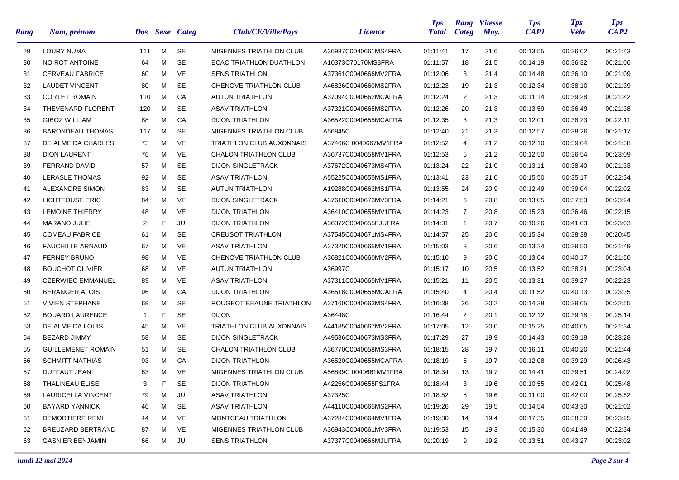| <b>Rang</b> | Nom, prénom               |                |   | Dos Sexe Categ | Club/CE/Ville/Pays              | <i>Licence</i>        | <b>Tps</b><br><b>Total</b> | Rang<br>Categ  | <b>Vitesse</b><br>Moy. | <b>Tps</b><br><b>CAP1</b> | <b>Tps</b><br><b>Vélo</b> | <b>Tps</b><br>CAP2 |
|-------------|---------------------------|----------------|---|----------------|---------------------------------|-----------------------|----------------------------|----------------|------------------------|---------------------------|---------------------------|--------------------|
| 29          | <b>LOURY NUMA</b>         | 111            | M | <b>SE</b>      | <b>MIGENNES TRIATHLON CLUB</b>  | A36937C0040661MS4FRA  | 01:11:41                   | 17             | 21,6                   | 00:13:55                  | 00:36:02                  | 00:21:43           |
| 30          | NOIROT ANTOINE            | 64             | M | <b>SE</b>      | ECAC TRIATHLON DUATHLON         | A10373C70170MS3FRA    | 01:11:57                   | 18             | 21,5                   | 00:14:19                  | 00:36:32                  | 00:21:06           |
| 31          | <b>CERVEAU FABRICE</b>    | 60             | М | <b>VE</b>      | <b>SENS TRIATHLON</b>           | A37361C0040666MV2FRA  | 01:12:06                   | 3              | 21,4                   | 00:14:48                  | 00:36:10                  | 00:21:09           |
| 32          | <b>LAUDET VINCENT</b>     | 80             | M | <b>SE</b>      | CHENOVE TRIATHLON CLUB          | A46826C0040660MS2FRA  | 01:12:23                   | 19             | 21,3                   | 00:12:34                  | 00:38:10                  | 00:21:39           |
| 33          | <b>CORTET ROMAIN</b>      | 110            | М | CA             | <b>AUTUN TRIATHLON</b>          | A37094C0040662MCAFRA  | 01:12:24                   | $\overline{2}$ | 21,3                   | 00:11:14                  | 00:39:28                  | 00:21:42           |
| 34          | <b>THEVENARD FLORENT</b>  | 120            | M | <b>SE</b>      | <b>ASAV TRIATHLON</b>           | A37321C0040665MS2FRA  | 01:12:26                   | 20             | 21,3                   | 00:13:59                  | 00:36:49                  | 00:21:38           |
| 35          | <b>GIBOZ WILLIAM</b>      | 88             | M | CA             | <b>DIJON TRIATHLON</b>          | A36522C0040655MCAFRA  | 01:12:35                   | 3              | 21,3                   | 00:12:01                  | 00:38:23                  | 00:22:11           |
| 36          | <b>BARONDEAU THOMAS</b>   | 117            | M | <b>SE</b>      | <b>MIGENNES TRIATHLON CLUB</b>  | A56845C               | 01:12:40                   | 21             | 21,3                   | 00:12:57                  | 00:38:26                  | 00:21:17           |
| 37          | DE ALMEIDA CHARLES        | 73             | м | <b>VE</b>      | <b>TRIATHLON CLUB AUXONNAIS</b> | A37466C 0040667MV1FRA | 01:12:52                   | 4              | 21,2                   | 00:12:10                  | 00:39:04                  | 00:21:38           |
| 38          | <b>DION LAURENT</b>       | 76             | M | VE             | CHALON TRIATHLON CLUB           | A36737C0040658MV1FRA  | 01:12:53                   | 5              | 21,2                   | 00:12:50                  | 00:36:54                  | 00:23:09           |
| 39          | <b>FERRAND DAVID</b>      | 57             | м | <b>SE</b>      | <b>DIJON SINGLETRACK</b>        | A37672C0040673MS4FRA  | 01:13:24                   | 22             | 21,0                   | 00:13:11                  | 00:38:40                  | 00:21:33           |
| 40          | <b>LERASLE THOMAS</b>     | 92             | м | <b>SE</b>      | <b>ASAV TRIATHLON</b>           | A55225C0040655MS1FRA  | 01:13:41                   | 23             | 21,0                   | 00:15:50                  | 00:35:17                  | 00:22:34           |
| 41          | <b>ALEXANDRE SIMON</b>    | 83             | м | <b>SE</b>      | <b>AUTUN TRIATHLON</b>          | A19288C0040662MS1FRA  | 01:13:55                   | 24             | 20,9                   | 00:12:49                  | 00:39:04                  | 00:22:02           |
| 42          | <b>LICHTFOUSE ERIC</b>    | 84             | м | <b>VE</b>      | <b>DIJON SINGLETRACK</b>        | A37610C0040673MV3FRA  | 01:14:21                   | 6              | 20,8                   | 00:13:05                  | 00:37:53                  | 00:23:24           |
| 43          | <b>LEMOINE THIERRY</b>    | 48             | м | <b>VE</b>      | <b>DIJON TRIATHLON</b>          | A36410C0040655MV1FRA  | 01:14:23                   | 7              | 20,8                   | 00:15:23                  | 00:36:46                  | 00:22:15           |
| 44          | <b>MARANO JULIE</b>       | $\overline{2}$ | F | JU             | <b>DIJON TRIATHLON</b>          | A36372C0040655FJUFRA  | 01:14:31                   | $\mathbf{1}$   | 20,7                   | 00:10:26                  | 00:41:03                  | 00:23:03           |
| 45          | <b>COMEAU FABRICE</b>     | 61             | м | <b>SE</b>      | <b>CREUSOT TRIATHLON</b>        | A37545C0040671MS4FRA  | 01:14:57                   | 25             | 20,6                   | 00:15:34                  | 00:38:38                  | 00:20:45           |
| 46          | <b>FAUCHILLE ARNAUD</b>   | 67             | м | <b>VE</b>      | <b>ASAV TRIATHLON</b>           | A37320C0040665MV1FRA  | 01:15:03                   | 8              | 20,6                   | 00:13:24                  | 00:39:50                  | 00:21:49           |
| 47          | <b>FERNEY BRUNO</b>       | 98             | м | <b>VE</b>      | CHENOVE TRIATHLON CLUB          | A36821C0040660MV2FRA  | 01:15:10                   | 9              | 20,6                   | 00:13:04                  | 00:40:17                  | 00:21:50           |
| 48          | <b>BOUCHOT OLIVIER</b>    | 68             | M | <b>VE</b>      | <b>AUTUN TRIATHLON</b>          | A36997C               | 01:15:17                   | 10             | 20,5                   | 00:13:52                  | 00:38:21                  | 00:23:04           |
| 49          | <b>CZERWIEC EMMANUEL</b>  | 89             | м | VE             | <b>ASAV TRIATHLON</b>           | A37311C0040665MV1FRA  | 01:15:21                   | 11             | 20,5                   | 00:13:31                  | 00:39:27                  | 00:22:23           |
| 50          | <b>BERANGER ALOIS</b>     | 96             | м | CA             | <b>DIJON TRIATHLON</b>          | A36518C0040655MCAFRA  | 01:15:40                   | 4              | 20,4                   | 00:11:52                  | 00:40:13                  | 00:23:35           |
| 51          | <b>VIVIEN STEPHANE</b>    | 69             | M | <b>SE</b>      | ROUGEOT BEAUNE TRIATHLON        | A37160C0040663MS4FRA  | 01:16:38                   | 26             | 20,2                   | 00:14:38                  | 00:39:05                  | 00:22:55           |
| 52          | <b>BOUARD LAURENCE</b>    | $\mathbf{1}$   | F | <b>SE</b>      | <b>DIJON</b>                    | A36448C               | 01:16:44                   | $\overline{2}$ | 20,1                   | 00:12:12                  | 00:39:18                  | 00:25:14           |
| 53          | DE ALMEIDA LOUIS          | 45             | м | <b>VE</b>      | <b>TRIATHLON CLUB AUXONNAIS</b> | A44185C0040667MV2FRA  | 01:17:05                   | 12             | 20,0                   | 00:15:25                  | 00:40:05                  | 00:21:34           |
| 54          | BEZARD JIMMY              | 58             | м | <b>SE</b>      | <b>DIJON SINGLETRACK</b>        | A49536C0040673MS3FRA  | 01:17:29                   | 27             | 19,9                   | 00:14:43                  | 00:39:18                  | 00:23:28           |
| 55          | <b>GUILLEMENET ROMAIN</b> | 51             | м | <b>SE</b>      | <b>CHALON TRIATHLON CLUB</b>    | A36770C0040658MS3FRA  | 01:18:15                   | 28             | 19,7                   | 00:16:11                  | 00:40:20                  | 00:21:44           |
| 56          | <b>SCHMITT MATHIAS</b>    | 93             | м | CA             | <b>DIJON TRIATHLON</b>          | A36520C0040655MCAFRA  | 01:18:19                   | 5              | 19,7                   | 00:12:08                  | 00:39:29                  | 00:26:43           |
| 57          | <b>DUFFAUT JEAN</b>       | 63             | м | VE             | MIGENNES TRIATHLON CLUB         | A56899C 0040661MV1FRA | 01:18:34                   | 13             | 19,7                   | 00:14:41                  | 00:39:51                  | 00:24:02           |
| 58          | THALINEAU ELISE           | 3              | F | <b>SE</b>      | <b>DIJON TRIATHLON</b>          | A42256C0040655FS1FRA  | 01:18:44                   | 3              | 19,6                   | 00:10:55                  | 00:42:01                  | 00:25:48           |
| 59          | LAURICELLA VINCENT        | 79             | M | JU             | <b>ASAV TRIATHLON</b>           | A37325C               | 01:18:52                   | 8              | 19,6                   | 00:11:00                  | 00:42:00                  | 00:25:52           |
| 60          | <b>BAYARD YANNICK</b>     | 46             | м | SE             | <b>ASAV TRIATHLON</b>           | A44110C0040665MS2FRA  | 01:19:26                   | 29             | 19,5                   | 00:14:54                  | 00:43:30                  | 00:21:02           |
| 61          | <b>DEMORTIERE REMI</b>    | 44             | м | VE             | MONTCEAU TRIATHLON              | A37284C0040664MV1FRA  | 01:19:30                   | 14             | 19,4                   | 00:17:35                  | 00:38:30                  | 00:23:25           |
| 62          | <b>BREUZARD BERTRAND</b>  | 87             | M | VE             | MIGENNES TRIATHLON CLUB         | A36943C0040661MV3FRA  | 01:19:53                   | 15             | 19,3                   | 00:15:30                  | 00:41:49                  | 00:22:34           |
| 63          | <b>GASNIER BENJAMIN</b>   | 66             | M | JU             | <b>SENS TRIATHLON</b>           | A37377C0040666MJUFRA  | 01:20:19                   | 9              | 19,2                   | 00:13:51                  | 00:43:27                  | 00:23:02           |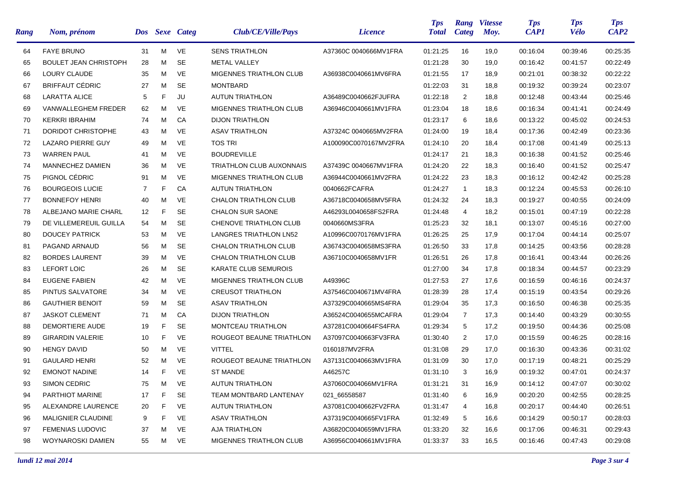| Rang | Nom, prénom                  | <b>Dos</b>     |    | <b>Sexe</b> Categ | Club/CE/Ville/Pays              | <i>Licence</i>        | <b>Tps</b><br><b>Total</b> | Rang<br>Categ  | <b>Vitesse</b><br>Moy. | <b>Tps</b><br><b>CAP1</b> | <b>Tps</b><br><b>Vélo</b> | <b>Tps</b><br>CAP2 |
|------|------------------------------|----------------|----|-------------------|---------------------------------|-----------------------|----------------------------|----------------|------------------------|---------------------------|---------------------------|--------------------|
| 64   | <b>FAYE BRUNO</b>            | 31             | M  | VE                | <b>SENS TRIATHLON</b>           | A37360C 0040666MV1FRA | 01:21:25                   | 16             | 19,0                   | 00:16:04                  | 00:39:46                  | 00:25:35           |
| 65   | <b>BOULET JEAN CHRISTOPH</b> | 28             | м  | <b>SE</b>         | <b>METAL VALLEY</b>             |                       | 01:21:28                   | 30             | 19,0                   | 00:16:42                  | 00:41:57                  | 00:22:49           |
| 66   | <b>LOURY CLAUDE</b>          | 35             | м  | <b>VE</b>         | MIGENNES TRIATHLON CLUB         | A36938C0040661MV6FRA  | 01:21:55                   | 17             | 18,9                   | 00:21:01                  | 00:38:32                  | 00:22:22           |
| 67   | <b>BRIFFAUT CÉDRIC</b>       | 27             | м  | <b>SE</b>         | <b>MONTBARD</b>                 |                       | 01:22:03                   | 31             | 18,8                   | 00:19:32                  | 00:39:24                  | 00:23:07           |
| 68   | <b>LARATTA ALICE</b>         | 5              | F. | JU                | <b>AUTUN TRIATHLON</b>          | A36489C0040662FJUFRA  | 01:22:18                   | $\overline{2}$ | 18,8                   | 00:12:48                  | 00:43:44                  | 00:25:46           |
| 69   | VANWALLEGHEM FREDER          | 62             | м  | VE                | MIGENNES TRIATHLON CLUB         | A36946C0040661MV1FRA  | 01:23:04                   | 18             | 18,6                   | 00:16:34                  | 00:41:41                  | 00:24:49           |
| 70   | <b>KERKRI IBRAHIM</b>        | 74             | м  | CA                | <b>DIJON TRIATHLON</b>          |                       | 01:23:17                   | 6              | 18,6                   | 00:13:22                  | 00:45:02                  | 00:24:53           |
| 71   | DORIDOT CHRISTOPHE           | 43             | м  | VE                | <b>ASAV TRIATHLON</b>           | A37324C 0040665MV2FRA | 01:24:00                   | 19             | 18,4                   | 00:17:36                  | 00:42:49                  | 00:23:36           |
| 72   | LAZARO PIERRE GUY            | 49             | м  | <b>VE</b>         | <b>TOS TRI</b>                  | A100090C0070167MV2FRA | 01:24:10                   | 20             | 18,4                   | 00:17:08                  | 00:41:49                  | 00:25:13           |
| 73   | <b>WARREN PAUL</b>           | 41             | м  | VE                | <b>BOUDREVILLE</b>              |                       | 01:24:17                   | 21             | 18,3                   | 00:16:38                  | 00:41:52                  | 00:25:46           |
| 74   | MANNECHEZ DAMIEN             | 36             | м  | <b>VE</b>         | <b>TRIATHLON CLUB AUXONNAIS</b> | A37439C 0040667MV1FRA | 01:24:20                   | 22             | 18,3                   | 00:16:40                  | 00:41:52                  | 00:25:47           |
| 75   | PIGNOL CÉDRIC                | 91             | м  | VE                | MIGENNES TRIATHLON CLUB         | A36944C0040661MV2FRA  | 01:24:22                   | 23             | 18,3                   | 00:16:12                  | 00:42:42                  | 00:25:28           |
| 76   | <b>BOURGEOIS LUCIE</b>       | $\overline{7}$ | F. | CA                | <b>AUTUN TRIATHLON</b>          | 0040662FCAFRA         | 01:24:27                   | $\mathbf{1}$   | 18,3                   | 00:12:24                  | 00:45:53                  | 00:26:10           |
| 77   | <b>BONNEFOY HENRI</b>        | 40             | м  | <b>VE</b>         | <b>CHALON TRIATHLON CLUB</b>    | A36718C0040658MV5FRA  | 01:24:32                   | 24             | 18,3                   | 00:19:27                  | 00:40:55                  | 00:24:09           |
| 78   | ALBEJANO MARIE CHARL         | 12             | F  | <b>SE</b>         | <b>CHALON SUR SAONE</b>         | A46293L0040658FS2FRA  | 01:24:48                   | 4              | 18,2                   | 00:15:01                  | 00:47:19                  | 00:22:28           |
| 79   | DE VILLEMEREUIL GUILLA       | 54             | м  | <b>SE</b>         | CHENOVE TRIATHLON CLUB          | 0040660MS3FRA         | 01:25:23                   | 32             | 18,1                   | 00:13:07                  | 00:45:16                  | 00:27:00           |
| 80   | <b>DOUCEY PATRICK</b>        | 53             | м  | <b>VE</b>         | LANGRES TRIATHLON LN52          | A10996C0070176MV1FRA  | 01:26:25                   | 25             | 17,9                   | 00:17:04                  | 00:44:14                  | 00:25:07           |
| 81   | PAGAND ARNAUD                | 56             | м  | <b>SE</b>         | <b>CHALON TRIATHLON CLUB</b>    | A36743C0040658MS3FRA  | 01:26:50                   | 33             | 17,8                   | 00:14:25                  | 00:43:56                  | 00:28:28           |
| 82   | <b>BORDES LAURENT</b>        | 39             | м  | <b>VE</b>         | <b>CHALON TRIATHLON CLUB</b>    | A36710C0040658MV1FR   | 01:26:51                   | 26             | 17,8                   | 00:16:41                  | 00:43:44                  | 00:26:26           |
| 83   | <b>LEFORT LOIC</b>           | 26             | м  | <b>SE</b>         | KARATE CLUB SEMUROIS            |                       | 01:27:00                   | 34             | 17,8                   | 00:18:34                  | 00:44:57                  | 00:23:29           |
| 84   | <b>EUGENE FABIEN</b>         | 42             | м  | <b>VE</b>         | MIGENNES TRIATHLON CLUB         | A49396C               | 01:27:53                   | 27             | 17,6                   | 00:16:59                  | 00:46:16                  | 00:24:37           |
| 85   | PINTUS SALVATORE             | 34             | м  | <b>VE</b>         | <b>CREUSOT TRIATHLON</b>        | A37546C0040671MV4FRA  | 01:28:39                   | 28             | 17,4                   | 00:15:19                  | 00:43:54                  | 00:29:26           |
| 86   | <b>GAUTHIER BENOIT</b>       | 59             | м  | <b>SE</b>         | <b>ASAV TRIATHLON</b>           | A37329C0040665MS4FRA  | 01:29:04                   | 35             | 17,3                   | 00:16:50                  | 00:46:38                  | 00:25:35           |
| 87   | <b>JASKOT CLEMENT</b>        | 71             | м  | CA                | <b>DIJON TRIATHLON</b>          | A36524C0040655MCAFRA  | 01:29:04                   | $\overline{7}$ | 17,3                   | 00:14:40                  | 00:43:29                  | 00:30:55           |
| 88   | DEMORTIERE AUDE              | 19             | F  | <b>SE</b>         | MONTCEAU TRIATHLON              | A37281C0040664FS4FRA  | 01:29:34                   | 5              | 17,2                   | 00:19:50                  | 00:44:36                  | 00:25:08           |
| 89   | <b>GIRARDIN VALERIE</b>      | 10             | F  | <b>VE</b>         | ROUGEOT BEAUNE TRIATHLON        | A37097C0040663FV3FRA  | 01:30:40                   | $\overline{2}$ | 17,0                   | 00:15:59                  | 00:46:25                  | 00:28:16           |
| 90   | <b>HENGY DAVID</b>           | 50             | м  | VE                | <b>VITTEL</b>                   | 0160187MV2FRA         | 01:31:08                   | 29             | 17,0                   | 00:16:30                  | 00:43:36                  | 00:31:02           |
| 91   | <b>GAULARD HENRI</b>         | 52             | м  | VE                | ROUGEOT BEAUNE TRIATHLON        | A37131C0040663MV1FRA  | 01:31:09                   | 30             | 17,0                   | 00:17:19                  | 00:48:21                  | 00:25:29           |
| 92   | <b>EMONOT NADINE</b>         | 14             | F. | VE                | <b>ST MANDE</b>                 | A46257C               | 01:31:10                   | 3              | 16,9                   | 00:19:32                  | 00:47:01                  | 00:24:37           |
| 93   | <b>SIMON CEDRIC</b>          | 75             | M  | VE                | <b>AUTUN TRIATHLON</b>          | A37060C004066MV1FRA   | 01:31:21                   | 31             | 16,9                   | 00:14:12                  | 00:47:07                  | 00:30:02           |
| 94   | PARTHIOT MARINE              | 17             | F. | SE                | TEAM MONTBARD LANTENAY          | 021_66558587          | 01:31:40                   | 6              | 16,9                   | 00:20:20                  | 00:42:55                  | 00:28:25           |
| 95   | ALEXANDRE LAURENCE           | 20             | F. | VE                | <b>AUTUN TRIATHLON</b>          | A37081C0040662FV2FRA  | 01:31:47                   | 4              | 16,8                   | 00:20:17                  | 00:44:40                  | 00:26:51           |
| 96   | MALIGNIER CLAUDINE           | 9              | F. | VE                | <b>ASAV TRIATHLON</b>           | A37319C0040665FV1FRA  | 01:32:49                   | 5              | 16,6                   | 00:14:29                  | 00:50:17                  | 00:28:03           |
| 97   | <b>FEMENIAS LUDOVIC</b>      | 37             | м  | VE                | <b>AJA TRIATHLON</b>            | A36820C0040659MV1FRA  | 01:33:20                   | 32             | 16,6                   | 00:17:06                  | 00:46:31                  | 00:29:43           |
| 98   | WOYNAROSKI DAMIEN            | 55             | M  | VE                | MIGENNES TRIATHLON CLUB         | A36956C0040661MV1FRA  | 01:33:37                   | 33             | 16,5                   | 00:16:46                  | 00:47:43                  | 00:29:08           |